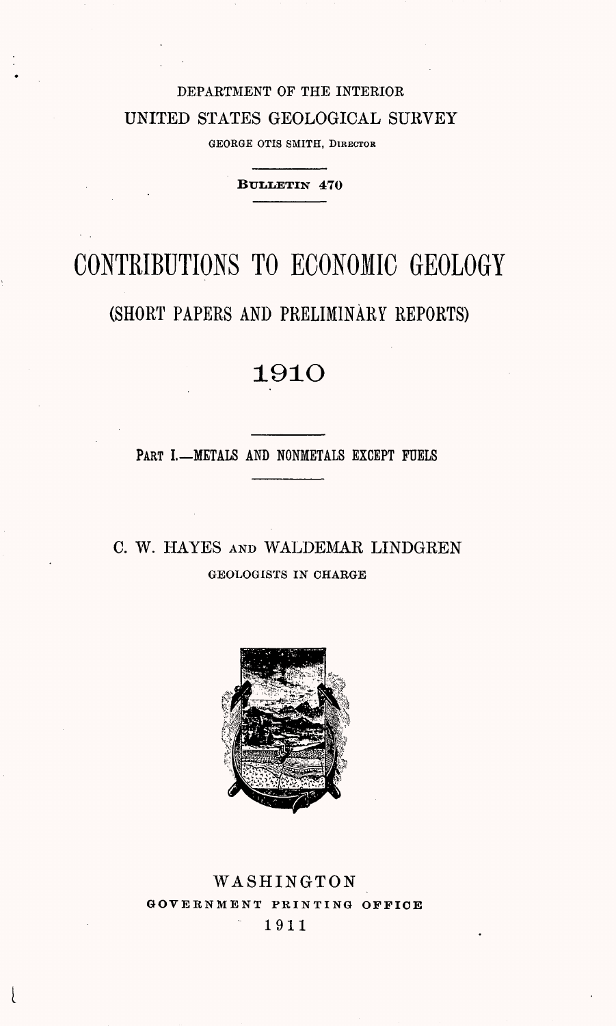# DEPARTMENT OF THE INTERIOR UNITED STATES GEOLOGICAL SURVEY

GEORGE OTIS SMITH, DIRECTOR

#### **BULLETIN 470**

# CONTRIBUTIONS TO ECONOMIC GEOLOGY (SHORT PAPERS AND PRELIMINARY REPORTS)

# 191O

PART I.-METALS AND NONMETALS EXCEPT FUELS

**C. W. HAYES AND WALDEMAR LINDGREN** GEOLOGISTS IN CHARGE



WASHINGTON **GOVERNMENT PRINTING OFFICE 1911**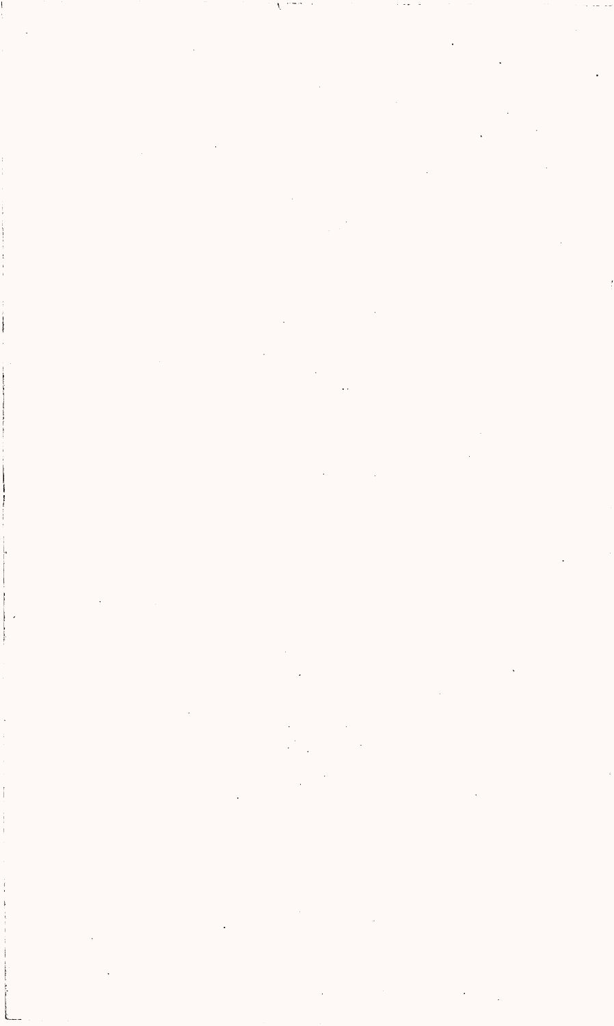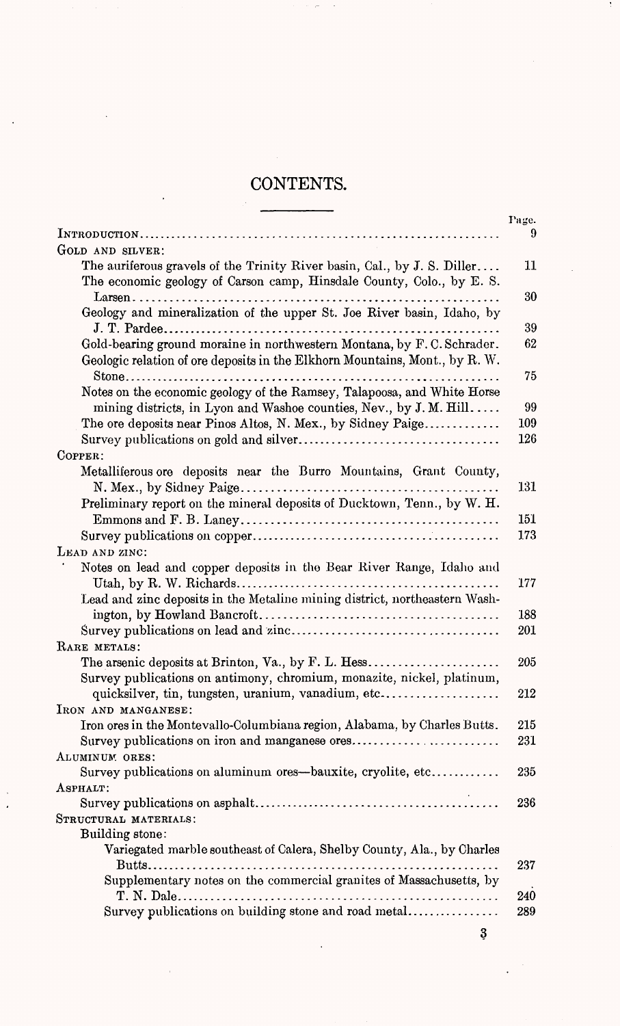## CONTENTS.

 $\sim$   $\sim$  $\sim$ 

|                                                                                                                                                        | Page.<br>9 |
|--------------------------------------------------------------------------------------------------------------------------------------------------------|------------|
| GOLD AND SILVER:                                                                                                                                       |            |
| The auriferous gravels of the Trinity River basin, Cal., by J. S. Diller<br>The economic geology of Carson camp, Hinsdale County, Colo., by E. S.      | 11         |
|                                                                                                                                                        | 30         |
| Geology and mineralization of the upper St. Joe River basin, Idaho, by                                                                                 | 39         |
| Gold-bearing ground moraine in northwestern Montana, by F. C. Schrader.<br>Geologic relation of ore deposits in the Elkhorn Mountains, Mont., by R. W. | 62         |
| Notes on the economic geology of the Ramsey, Talapoosa, and White Horse                                                                                | 75         |
| mining districts, in Lyon and Washoe counties, Nev., by J. M. Hill<br>The ore deposits near Pinos Altos, N. Mex., by Sidney Paige                      | 99<br>109  |
|                                                                                                                                                        | 126        |
| COPPER:                                                                                                                                                |            |
| Metalliferous ore deposits near the Burro Mountains, Grant County,                                                                                     | 131        |
| Preliminary report on the mineral deposits of Ducktown, Tenn., by W. H.                                                                                | 151        |
|                                                                                                                                                        | 173        |
| LEAD AND ZINC:                                                                                                                                         |            |
| Notes on lead and copper deposits in the Bear River Range, Idaho and                                                                                   |            |
| Lead and zinc deposits in the Metaline mining district, northeastern Wash-                                                                             | 177        |
|                                                                                                                                                        | 188        |
|                                                                                                                                                        | 201        |
| RARE METALS:                                                                                                                                           |            |
| The arsenic deposits at Brinton, Va., by F. L. Hess                                                                                                    | 205        |
| Survey publications on antimony, chromium, monazite, nickel, platinum,<br>quicksilver, tin, tungsten, uranium, vanadium, etc                           | 212        |
| IRON AND MANGANESE:                                                                                                                                    |            |
| Iron ores in the Montevallo-Columbiana region, Alabama, by Charles Butts.                                                                              | 215        |
| Survey publications on iron and manganese ores                                                                                                         | 231        |
| ALUMINUM ORES:                                                                                                                                         |            |
| Survey publications on aluminum ores-bauxite, cryolite, etc                                                                                            | 235        |
| ASPHALT:                                                                                                                                               |            |
|                                                                                                                                                        | 236        |
| STRUCTURAL MATERIALS:                                                                                                                                  |            |
| Building stone:                                                                                                                                        |            |
| Variegated marble southeast of Calera, Shelby County, Ala., by Charles                                                                                 |            |
|                                                                                                                                                        | 237        |
| Supplementary notes on the commercial granites of Massachusetts, by                                                                                    |            |
|                                                                                                                                                        | 240        |
| Survey publications on building stone and road metal                                                                                                   | 289        |
| 3                                                                                                                                                      |            |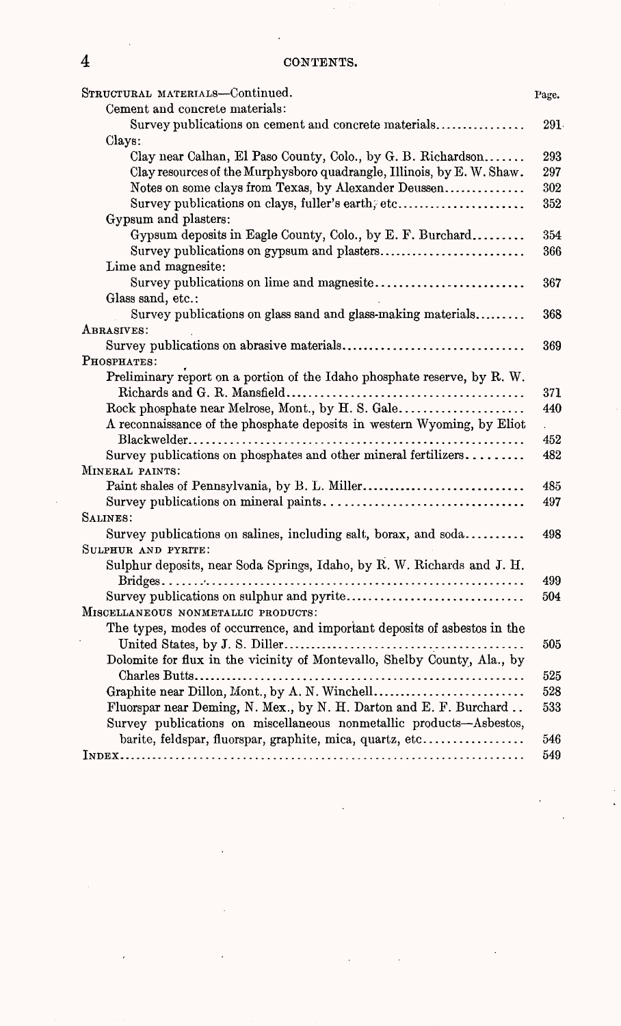$\sim$ 

| STRUCTURAL MATERIALS—Continued.                                           | Page.   |
|---------------------------------------------------------------------------|---------|
| Cement and concrete materials:                                            |         |
| Survey publications on cement and concrete materials                      | $291\,$ |
| Clays:                                                                    |         |
| Clay near Calhan, El Paso County, Colo., by G. B. Richardson              | 293     |
| Clay resources of the Murphysboro quadrangle, Illinois, by E.W. Shaw.     | 297     |
| Notes on some clays from Texas, by Alexander Deussen                      | 302     |
| Survey publications on clays, fuller's earth; etc                         | 352     |
| Gypsum and plasters:                                                      |         |
| Gypsum deposits in Eagle County, Colo., by E. F. Burchard                 | 354     |
| Survey publications on gypsum and plasters                                | 366     |
| Lime and magnesite:                                                       |         |
| Survey publications on lime and magnesite                                 | 367     |
| Glass sand, etc.:                                                         |         |
| Survey publications on glass sand and glass-making materials              | 368     |
| ABRASIVES:                                                                |         |
| Survey publications on abrasive materials                                 | 369     |
| PHOSPHATES:                                                               |         |
| Preliminary report on a portion of the Idaho phosphate reserve, by R. W.  |         |
|                                                                           | 371     |
| Rock phosphate near Melrose, Mont., by H. S. Gale                         | 440     |
| A reconnaissance of the phosphate deposits in western Wyoming, by Eliot   |         |
|                                                                           | 452     |
| Survey publications on phosphates and other mineral fertilizers           | 482     |
| MINERAL PAINTS:                                                           |         |
|                                                                           | 485     |
|                                                                           | 497     |
| SALINES:                                                                  |         |
| Survey publications on salines, including salt, borax, and soda           | 498     |
| SULPHUR AND PYRITE:                                                       |         |
| Sulphur deposits, near Soda Springs, Idaho, by R. W. Richards and J. H.   |         |
|                                                                           | 499     |
| Survey publications on sulphur and pyrite                                 | 504     |
| MISCELLANEOUS NONMETALLIC PRODUCTS:                                       |         |
| The types, modes of occurrence, and important deposits of asbestos in the |         |
|                                                                           | 505     |
| Dolomite for flux in the vicinity of Montevallo, Shelby County, Ala., by  |         |
|                                                                           | 525     |
| Graphite near Dillon, Mont., by A. N. Winchell                            | 528     |
| Fluorspar near Deming, N. Mex., by N. H. Darton and E. F. Burchard        | 533     |
| Survey publications on miscellaneous nonmetallic products-Asbestos,       |         |
| barite, feldspar, fluorspar, graphite, mica, quartz, etc                  | 546     |
|                                                                           | 549     |

 $\mathcal{L}^{\text{max}}_{\text{max}}$ 

 $\frac{1}{2}$  ,  $\frac{1}{2}$ 

 $\sim 10^{11}$ 

 $\label{eq:2.1} \frac{1}{\sqrt{2}}\int_{0}^{\infty}\frac{1}{\sqrt{2\pi}}\left(\frac{1}{\sqrt{2}}\right)^{2}d\mu\int_{0}^{\infty}\frac{1}{\sqrt{2\pi}}\left(\frac{1}{\sqrt{2}}\right)^{2}d\mu\int_{0}^{\infty}\frac{1}{\sqrt{2\pi}}\left(\frac{1}{\sqrt{2}}\right)^{2}d\mu\int_{0}^{\infty}\frac{1}{\sqrt{2\pi}}\left(\frac{1}{\sqrt{2}}\right)^{2}d\mu\int_{0}^{\infty}\frac{1}{\sqrt{2\pi}}\left(\frac{1}{\sqrt{2}}$ 

 $\ddot{\phantom{a}}$ 

 $\hat{\boldsymbol{\cdot}$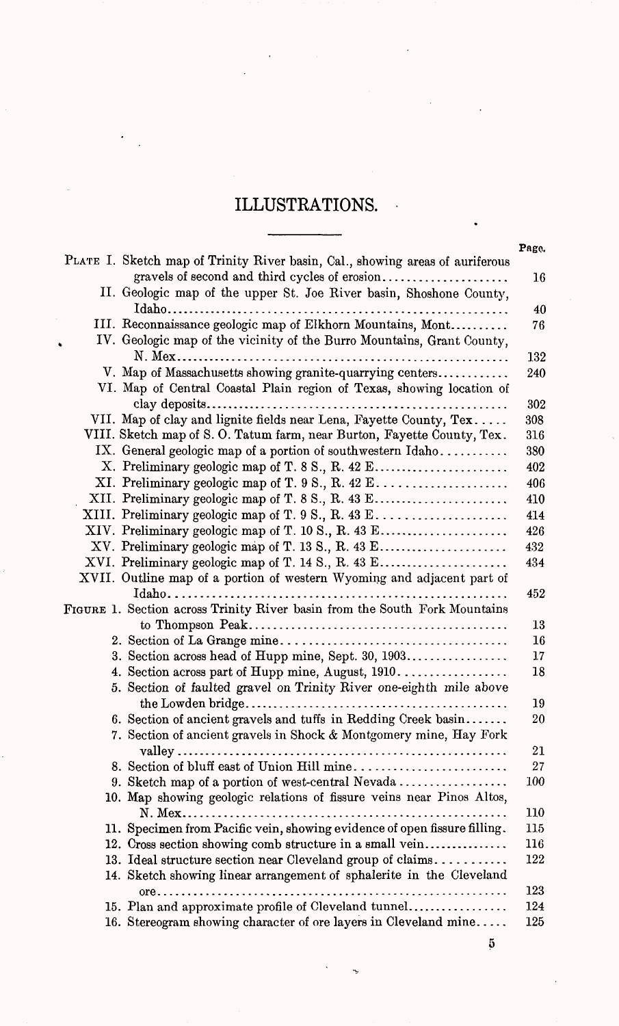### ILLUSTRATIONS.

|                                                                               | Page.    |
|-------------------------------------------------------------------------------|----------|
| PLATE I. Sketch map of Trinity River basin, Cal., showing areas of auriferous |          |
| gravels of second and third cycles of erosion                                 | 16       |
| II. Geologic map of the upper St. Joe River basin, Shoshone County,           |          |
|                                                                               | 40       |
| III. Reconnaissance geologic map of Elkhorn Mountains, Mont                   | 76       |
| IV. Geologic map of the vicinity of the Burro Mountains, Grant County,        |          |
| V. Map of Massachusetts showing granite-quarrying centers                     | 132      |
| VI. Map of Central Coastal Plain region of Texas, showing location of         | 240      |
|                                                                               | 302      |
| VII. Map of clay and lignite fields near Lena, Fayette County, Tex            | 308      |
| VIII. Sketch map of S.O. Tatum farm, near Burton, Fayette County, Tex.        | 316      |
| IX. General geologic map of a portion of southwestern Idaho                   | 380      |
| X. Preliminary geologic map of T. 8 S., R. 42 E                               | 402      |
|                                                                               | 406      |
| XII. Preliminary geologic map of T. 8 S., R. 43 E                             | 410      |
| XIII. Preliminary geologic map of T. 9 S., R. 43 E                            | 414      |
| XIV. Preliminary geologic map of T. 10 S., R. 43 E                            | 426      |
| XV. Preliminary geologic map of T. 13 S., R. 43 E                             | 432      |
| XVI. Preliminary geologic map of T. 14 S., R. 43 E                            | 434      |
| XVII. Outline map of a portion of western Wyoming and adjacent part of        |          |
|                                                                               | 452      |
| FIGURE 1. Section across Trinity River basin from the South Fork Mountains    |          |
|                                                                               | 13       |
|                                                                               | 16       |
| 3. Section across head of Hupp mine, Sept. 30, 1903                           | 17       |
|                                                                               | 18       |
| 5. Section of faulted gravel on Trinity River one-eighth mile above           |          |
| 6. Section of ancient gravels and tuffs in Redding Creek basin                | 19<br>20 |
| 7. Section of ancient gravels in Shock & Montgomery mine, Hay Fork            |          |
|                                                                               | 21       |
| 8. Section of bluff east of Union Hill mine                                   | 27       |
| 9. Sketch map of a portion of west-central Nevada                             | 100      |
| 10. Map showing geologic relations of fissure veins near Pinos Altos,         |          |
|                                                                               | 110      |
| 11. Specimen from Pacific vein, showing evidence of open fissure filling.     | 115      |
| 12. Cross section showing comb structure in a small vein                      | 116      |
| 13. Ideal structure section near Cleveland group of claims                    | 122      |
| 14. Sketch showing linear arrangement of sphalerite in the Cleveland          |          |
|                                                                               | 123      |
| 15. Plan and approximate profile of Cleveland tunnel                          | 124      |
| 16. Stereogram showing character of ore layers in Cleveland mine              | 125      |

5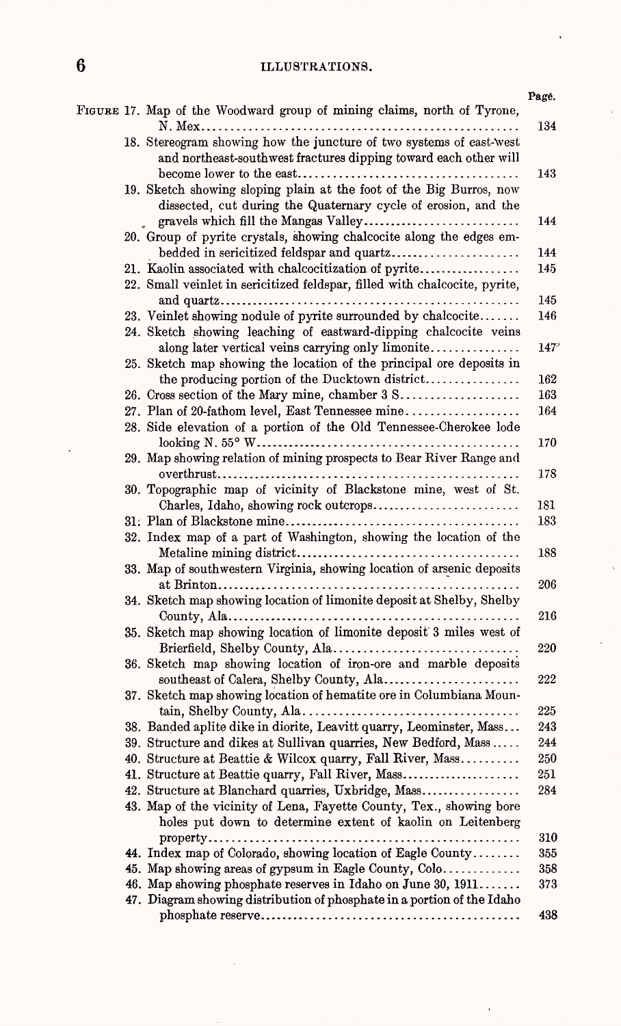### **6 ILLUSTRATIONS.**

 $\ddot{\phantom{0}}$ 

 $\bar{\bar{\lambda}}$ 

l,

 $\overline{a}$ 

|  |                                                                                                                                        | Pagé.       |
|--|----------------------------------------------------------------------------------------------------------------------------------------|-------------|
|  | FIGURE 17. Map of the Woodward group of mining claims, north of Tyrone,                                                                | 134         |
|  | 18. Stereogram showing how the juncture of two systems of east-west                                                                    |             |
|  | and northeast-southwest fractures dipping toward each other will                                                                       |             |
|  |                                                                                                                                        | 143         |
|  | 19. Sketch showing sloping plain at the foot of the Big Burros, now                                                                    |             |
|  | dissected, cut during the Quaternary cycle of erosion, and the                                                                         |             |
|  |                                                                                                                                        | 144         |
|  | 20. Group of pyrite crystals, showing chalcocite along the edges em-                                                                   |             |
|  | bedded in sericitized feldspar and quartz                                                                                              | 144         |
|  | 21. Kaolin associated with chalcocitization of pyrite                                                                                  | 145         |
|  | 22. Small veinlet in sericitized feldspar, filled with chalcocite, pyrite,                                                             | $145\,$     |
|  | 23. Veinlet showing nodule of pyrite surrounded by chalcocite                                                                          | 146         |
|  | 24. Sketch showing leaching of eastward-dipping chalcocite veins                                                                       |             |
|  | along later vertical veins carrying only limonite                                                                                      | $147^\circ$ |
|  | 25. Sketch map showing the location of the principal ore deposits in                                                                   |             |
|  | the producing portion of the Ducktown district                                                                                         | 162         |
|  | 26. Cross section of the Mary mine, chamber 3 S                                                                                        | 163         |
|  | 27. Plan of 20-fathom level, East Tennessee mine                                                                                       | 164         |
|  | 28. Side elevation of a portion of the Old Tennessee-Cherokee lode                                                                     |             |
|  |                                                                                                                                        | 170         |
|  | 29. Map showing relation of mining prospects to Bear River Range and                                                                   |             |
|  |                                                                                                                                        | 178         |
|  | 30. Topographic map of vicinity of Blackstone mine, west of St.                                                                        |             |
|  |                                                                                                                                        | 181<br>183  |
|  | 32. Index map of a part of Washington, showing the location of the                                                                     |             |
|  |                                                                                                                                        | 188         |
|  | 33. Map of southwestern Virginia, showing location of arsenic deposits                                                                 |             |
|  |                                                                                                                                        | 206         |
|  | 34. Sketch map showing location of limonite deposit at Shelby, Shelby                                                                  |             |
|  |                                                                                                                                        | 216         |
|  | 35. Sketch map showing location of limonite deposit 3 miles west of                                                                    |             |
|  |                                                                                                                                        | 220         |
|  | 36. Sketch map showing location of iron-ore and marble deposits                                                                        |             |
|  | southeast of Calera, Shelby County, Ala                                                                                                | 222         |
|  | 37. Sketch map showing location of hematite ore in Columbiana Moun-                                                                    |             |
|  |                                                                                                                                        | 225<br>243  |
|  | 38. Banded aplite dike in diorite, Leavitt quarry, Leominster, Mass<br>39. Structure and dikes at Sullivan quarries, New Bedford, Mass | 244         |
|  | 40. Structure at Beattie & Wilcox quarry, Fall River, Mass                                                                             | 250         |
|  | 41. Structure at Beattie quarry, Fall River, Mass                                                                                      | $251\,$     |
|  | 42. Structure at Blanchard quarries, Uxbridge, Mass                                                                                    | 284         |
|  | 43. Map of the vicinity of Lena, Fayette County, Tex., showing bore                                                                    |             |
|  | holes put down to determine extent of kaolin on Leitenberg                                                                             |             |
|  | $property \dots \dots \dots \dots \dots \dots \dots \dots \dots$                                                                       | 310         |
|  | 44. Index map of Colorado, showing location of Eagle County                                                                            | 355         |
|  | 45. Map showing areas of gypsum in Eagle County, Colo                                                                                  | 358         |
|  | 46. Map showing phosphate reserves in Idaho on June 30, 1911                                                                           | 373         |
|  | 47. Diagram showing distribution of phosphate in a portion of the Idaho                                                                |             |
|  |                                                                                                                                        | 438         |

 $\overline{a}$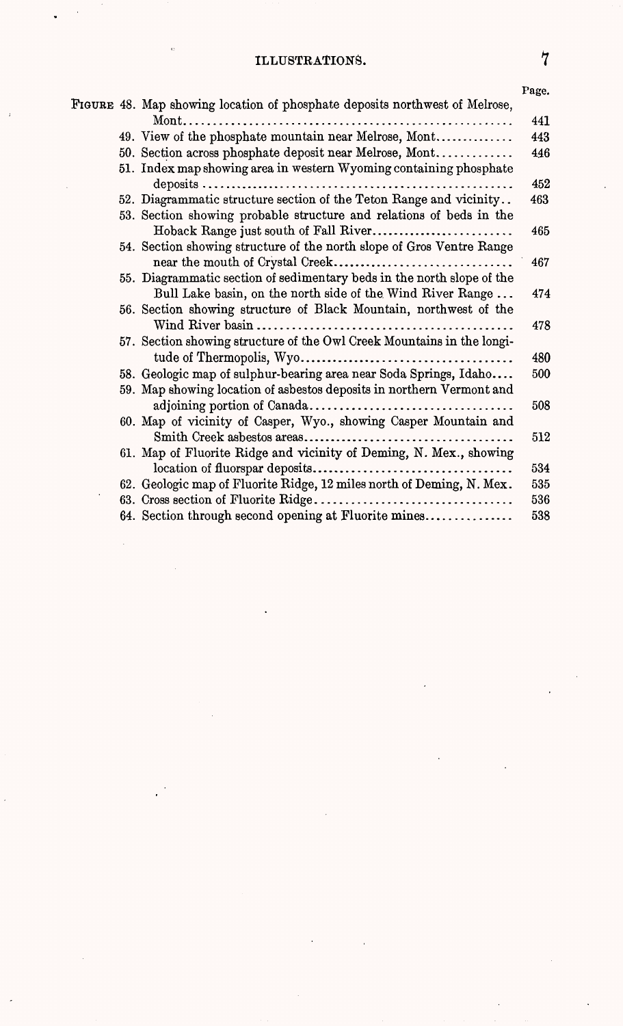#### ILLUSTRATIONS. 7

|  |                                                                             | Page. |
|--|-----------------------------------------------------------------------------|-------|
|  | FIGURE 48. Map showing location of phosphate deposits northwest of Melrose, |       |
|  |                                                                             | 441   |
|  | 49. View of the phosphate mountain near Melrose, Mont                       | 443   |
|  | 50. Section across phosphate deposit near Melrose, Mont                     | 446   |
|  | 51. Index map showing area in western Wyoming containing phosphate          | 452   |
|  | 52. Diagrammatic structure section of the Teton Range and vicinity          | 463   |
|  | 53. Section showing probable structure and relations of beds in the         |       |
|  | Hoback Range just south of Fall River                                       | 465   |
|  | 54. Section showing structure of the north slope of Gros Ventre Range       |       |
|  | near the mouth of Crystal Creek                                             | 467   |
|  | 55. Diagrammatic section of sedimentary beds in the north slope of the      |       |
|  | Bull Lake basin, on the north side of the Wind River Range                  | 474   |
|  | 56. Section showing structure of Black Mountain, northwest of the           |       |
|  |                                                                             | 478   |
|  | 57. Section showing structure of the Owl Creek Mountains in the longi-      |       |
|  |                                                                             | 480   |
|  | 58. Geologic map of sulphur-bearing area near Soda Springs, Idaho           | 500   |
|  | 59. Map showing location of asbestos deposits in northern Vermont and       |       |
|  |                                                                             | 508   |
|  | 60. Map of vicinity of Casper, Wyo., showing Casper Mountain and            |       |
|  |                                                                             | 512   |
|  | 61. Map of Fluorite Ridge and vicinity of Deming, N. Mex., showing          |       |
|  |                                                                             | 534   |
|  | 62. Geologic map of Fluorite Ridge, 12 miles north of Deming, N. Mex.       |       |
|  |                                                                             | 535   |
|  |                                                                             | 536   |
|  | 64. Section through second opening at Fluorite mines                        | 538   |